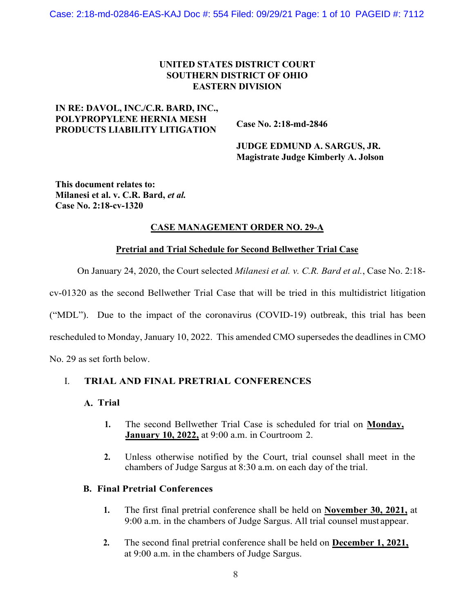### **UNITED STATES DISTRICT COURT SOUTHERN DISTRICT OF OHIO EASTERN DIVISION**

### **IN RE: DAVOL, INC./C.R. BARD, INC., POLYPROPYLENE HERNIA MESH PRODUCTS LIABILITY LITIGATION**

 **Case No. 2:18-md-2846**

 **JUDGE EDMUND A. SARGUS, JR. Magistrate Judge Kimberly A. Jolson**

**This document relates to: Milanesi et al. v. C.R. Bard,** *et al.*  **Case No. 2:18-cv-1320**

# **CASE MANAGEMENT ORDER NO. 29-A**

### **Pretrial and Trial Schedule for Second Bellwether Trial Case**

On January 24, 2020, the Court selected *Milanesi et al. v. C.R. Bard et al.*, Case No. 2:18-

cv-01320 as the second Bellwether Trial Case that will be tried in this multidistrict litigation

("MDL"). Due to the impact of the coronavirus (COVID-19) outbreak, this trial has been

rescheduled to Monday, January 10, 2022. This amended CMO supersedes the deadlines in CMO

No. 29 as set forth below.

# I. **TRIAL AND FINAL PRETRIAL CONFERENCES**

### **A. Trial**

- **1.** The second Bellwether Trial Case is scheduled for trial on **Monday, January 10, 2022,** at 9:00 a.m. in Courtroom 2.
- **2.** Unless otherwise notified by the Court, trial counsel shall meet in the chambers of Judge Sargus at 8:30 a.m. on each day of the trial.

### **B. Final Pretrial Conferences**

- **1.** The first final pretrial conference shall be held on **November 30, 2021,** at 9:00 a.m. in the chambers of Judge Sargus. All trial counsel must appear.
- **2.** The second final pretrial conference shall be held on **December 1, 2021,** at 9:00 a.m. in the chambers of Judge Sargus.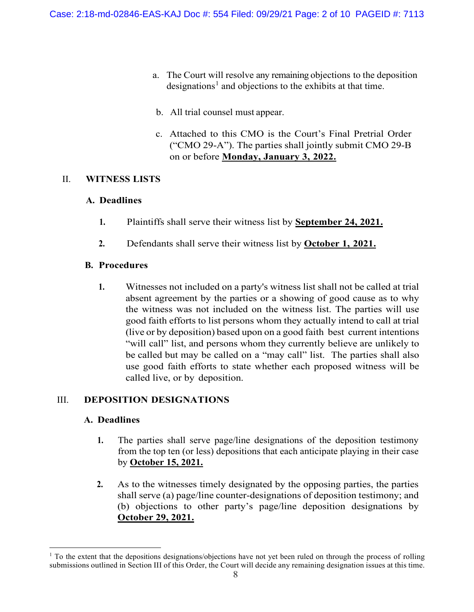- a. The Court will resolve any remaining objections to the deposition designations<sup>1</sup> and objections to the exhibits at that time.
- b. All trial counsel must appear.
- c. Attached to this CMO is the Court's Final Pretrial Order ("CMO 29-A"). The parties shall jointly submit CMO 29-B on or before **Monday, January 3, 2022.**

# II. **WITNESS LISTS**

# **A. Deadlines**

- **1.** Plaintiffs shall serve their witness list by **September 24, 2021.**
- **2.** Defendants shall serve their witness list by **October 1, 2021.**

# **B. Procedures**

**1.** Witnesses not included on a party's witness list shall not be called at trial absent agreement by the parties or a showing of good cause as to why the witness was not included on the witness list. The parties will use good faith efforts to list persons whom they actually intend to call at trial (live or by deposition) based upon on a good faith best current intentions "will call" list, and persons whom they currently believe are unlikely to be called but may be called on a "may call" list. The parties shall also use good faith efforts to state whether each proposed witness will be called live, or by deposition.

# III. **DEPOSITION DESIGNATIONS**

# **A. Deadlines**

- **1.** The parties shall serve page/line designations of the deposition testimony from the top ten (or less) depositions that each anticipate playing in their case by **October 15, 2021.**
- **2.** As to the witnesses timely designated by the opposing parties, the parties shall serve (a) page/line counter-designations of deposition testimony; and (b) objections to other party's page/line deposition designations by **October 29, 2021.**

<sup>&</sup>lt;sup>1</sup> To the extent that the depositions designations/objections have not yet been ruled on through the process of rolling submissions outlined in Section III of this Order, the Court will decide any remaining designation issues at this time.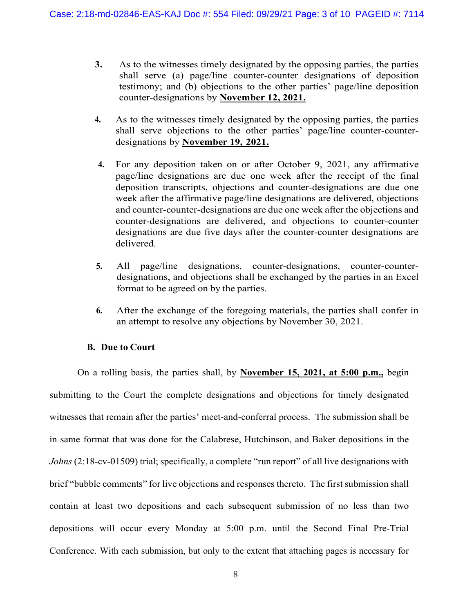- **3.** As to the witnesses timely designated by the opposing parties, the parties shall serve (a) page/line counter-counter designations of deposition testimony; and (b) objections to the other parties' page/line deposition counter-designations by **November 12, 2021.**
- **4.** As to the witnesses timely designated by the opposing parties, the parties shall serve objections to the other parties' page/line counter-counterdesignations by **November 19, 2021.**
- **4.** For any deposition taken on or after October 9, 2021, any affirmative page/line designations are due one week after the receipt of the final deposition transcripts, objections and counter-designations are due one week after the affirmative page/line designations are delivered, objections and counter-counter-designations are due one week after the objections and counter-designations are delivered, and objections to counter-counter designations are due five days after the counter-counter designations are delivered.
- **5.** All page/line designations, counter-designations, counter-counterdesignations, and objections shall be exchanged by the parties in an Excel format to be agreed on by the parties.
- **6.** After the exchange of the foregoing materials, the parties shall confer in an attempt to resolve any objections by November 30, 2021.

### **B. Due to Court**

On a rolling basis, the parties shall, by **November 15, 2021, at 5:00 p.m.,** begin submitting to the Court the complete designations and objections for timely designated witnesses that remain after the parties' meet-and-conferral process. The submission shall be in same format that was done for the Calabrese, Hutchinson, and Baker depositions in the *Johns* (2:18-cv-01509) trial; specifically, a complete "run report" of all live designations with brief "bubble comments" for live objections and responses thereto. The first submission shall contain at least two depositions and each subsequent submission of no less than two depositions will occur every Monday at 5:00 p.m. until the Second Final Pre-Trial Conference. With each submission, but only to the extent that attaching pages is necessary for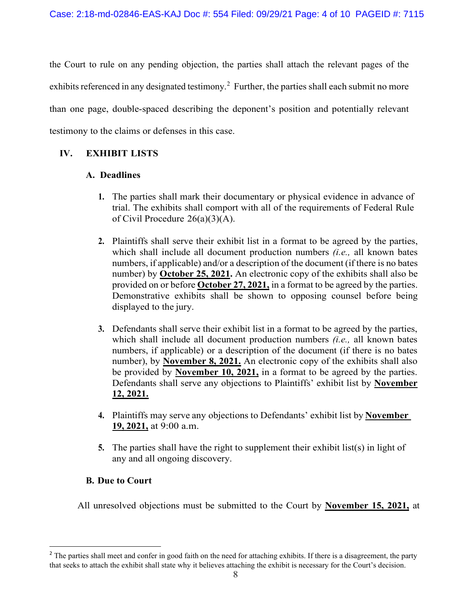the Court to rule on any pending objection, the parties shall attach the relevant pages of the exhibits referenced in any designated testimony.<sup>2</sup> Further, the parties shall each submit no more than one page, double-spaced describing the deponent's position and potentially relevant testimony to the claims or defenses in this case.

# **IV. EXHIBIT LISTS**

# **A. Deadlines**

- **1.** The parties shall mark their documentary or physical evidence in advance of trial. The exhibits shall comport with all of the requirements of Federal Rule of Civil Procedure 26(a)(3)(A).
- **2.** Plaintiffs shall serve their exhibit list in a format to be agreed by the parties, which shall include all document production numbers *(i.e.,* all known bates numbers, if applicable) and/or a description of the document (if there is no bates number) by **October 25, 2021.** An electronic copy of the exhibits shall also be provided on or before **October 27, 2021,** in a format to be agreed by the parties. Demonstrative exhibits shall be shown to opposing counsel before being displayed to the jury.
- **3.** Defendants shall serve their exhibit list in a format to be agreed by the parties, which shall include all document production numbers *(i.e.,* all known bates numbers, if applicable) or a description of the document (if there is no bates number), by **November 8, 2021.** An electronic copy of the exhibits shall also be provided by **November 10, 2021,** in a format to be agreed by the parties. Defendants shall serve any objections to Plaintiffs' exhibit list by **November 12, 2021.**
- **4.** Plaintiffs may serve any objections to Defendants' exhibit list by **November 19, 2021,** at 9:00 a.m.
- **5.** The parties shall have the right to supplement their exhibit list(s) in light of any and all ongoing discovery.

# **B. Due to Court**

All unresolved objections must be submitted to the Court by **November 15, 2021,** at

<sup>&</sup>lt;sup>2</sup> The parties shall meet and confer in good faith on the need for attaching exhibits. If there is a disagreement, the party that seeks to attach the exhibit shall state why it believes attaching the exhibit is necessary for the Court's decision.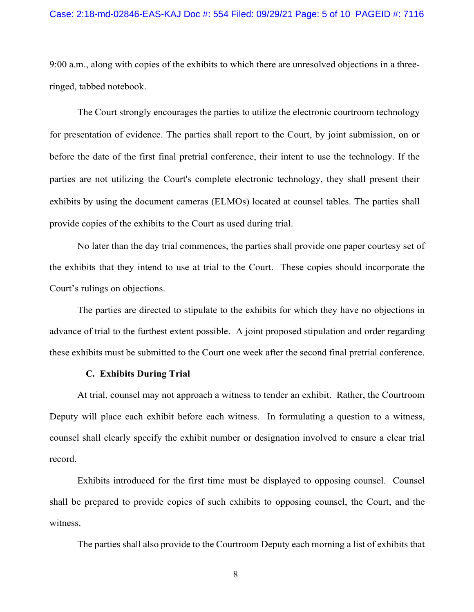#### Case: 2:18-md-02846-EAS-KAJ Doc #: 554 Filed: 09/29/21 Page: 5 of 10 PAGEID #: 7116

9:00 a.m., along with copies of the exhibits to which there are unresolved objections in a threeringed, tabbed notebook.

The Court strongly encourages the parties to utilize the electronic courtroom technology for presentation of evidence. The parties shall report to the Court, by joint submission, on or before the date of the first final pretrial conference, their intent to use the technology. If the parties are not utilizing the Court's complete electronic technology, they shall present their exhibits by using the document cameras (ELMOs) located at counsel tables. The parties shall provide copies of the exhibits to the Court as used during trial.

No later than the day trial commences, the parties shall provide one paper courtesy set of the exhibits that they intend to use at trial to the Court. These copies should incorporate the Court's rulings on objections.

The parties are directed to stipulate to the exhibits for which they have no objections in advance of trial to the furthest extent possible. A joint proposed stipulation and order regarding these exhibits must be submitted to the Court one week after the second final pretrial conference.

#### **C. Exhibits During Trial**

At trial, counsel may not approach a witness to tender an exhibit. Rather, the Courtroom Deputy will place each exhibit before each witness. In formulating a question to a witness, counsel shall clearly specify the exhibit number or designation involved to ensure a clear trial record.

Exhibits introduced for the first time must be displayed to opposing counsel. Counsel shall be prepared to provide copies of such exhibits to opposing counsel, the Court, and the witness.

The parties shall also provide to the Courtroom Deputy each morning a list of exhibits that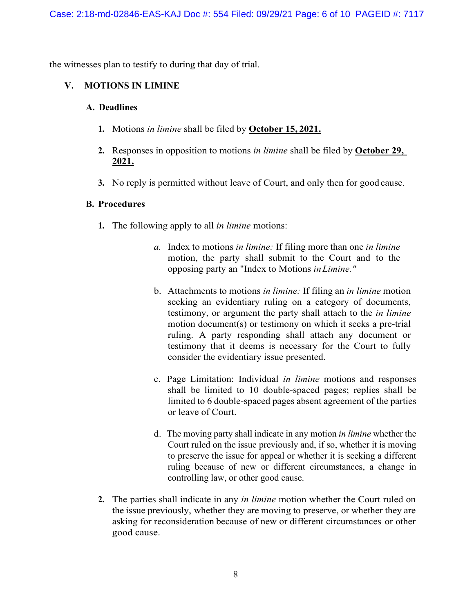the witnesses plan to testify to during that day of trial.

# **V. MOTIONS IN LIMINE**

### **A. Deadlines**

- **1.** Motions *in limine* shall be filed by **October 15, 2021.**
- **2.** Responses in opposition to motions *in limine* shall be filed by **October 29, 2021.**
- **3.** No reply is permitted without leave of Court, and only then for good cause.

# **B. Procedures**

- **1.** The following apply to all *in limine* motions:
	- *a.* Index to motions *in limine:* If filing more than one *in limine*  motion, the party shall submit to the Court and to the opposing party an "Index to Motions *inLimine."*
	- b. Attachments to motions *in limine:* If filing an *in limine* motion seeking an evidentiary ruling on a category of documents, testimony, or argument the party shall attach to the *in limine*  motion document(s) or testimony on which it seeks a pre-trial ruling. A party responding shall attach any document or testimony that it deems is necessary for the Court to fully consider the evidentiary issue presented.
	- c. Page Limitation: Individual *in limine* motions and responses shall be limited to 10 double-spaced pages; replies shall be limited to 6 double-spaced pages absent agreement of the parties or leave of Court.
	- d. The moving party shall indicate in any motion *in limine* whether the Court ruled on the issue previously and, if so, whether it is moving to preserve the issue for appeal or whether it is seeking a different ruling because of new or different circumstances, a change in controlling law, or other good cause.
- **2.** The parties shall indicate in any *in limine* motion whether the Court ruled on the issue previously, whether they are moving to preserve, or whether they are asking for reconsideration because of new or different circumstances or other good cause.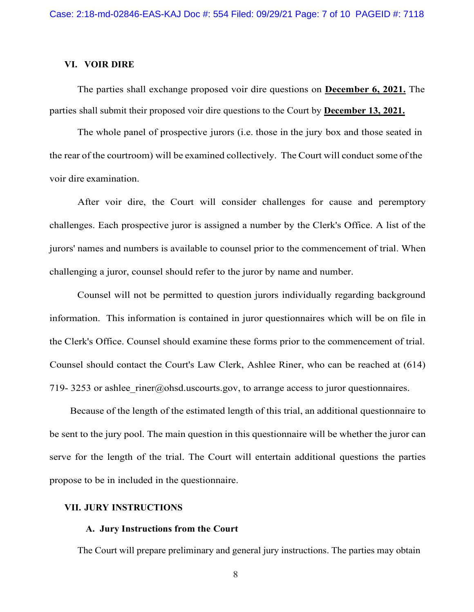#### **VI. VOIR DIRE**

The parties shall exchange proposed voir dire questions on **December 6, 2021.** The parties shall submit their proposed voir dire questions to the Court by **December 13, 2021.**

The whole panel of prospective jurors (i.e. those in the jury box and those seated in the rear of the courtroom) will be examined collectively. The Court will conduct some of the voir dire examination.

After voir dire, the Court will consider challenges for cause and peremptory challenges. Each prospective juror is assigned a number by the Clerk's Office. A list of the jurors' names and numbers is available to counsel prior to the commencement of trial. When challenging a juror, counsel should refer to the juror by name and number.

Counsel will not be permitted to question jurors individually regarding background information. This information is contained in juror questionnaires which will be on file in the Clerk's Office. Counsel should examine these forms prior to the commencement of trial. Counsel should contact the Court's Law Clerk, Ashlee Riner, who can be reached at (614) 719- 3253 or ashlee  $rinter@obsd.uscourts.gov$ , to arrange access to juror questionnaires.

Because of the length of the estimated length of this trial, an additional questionnaire to be sent to the jury pool. The main question in this questionnaire will be whether the juror can serve for the length of the trial. The Court will entertain additional questions the parties propose to be in included in the questionnaire.

### **VII. JURY INSTRUCTIONS**

#### **A. Jury Instructions from the Court**

The Court will prepare preliminary and general jury instructions. The parties may obtain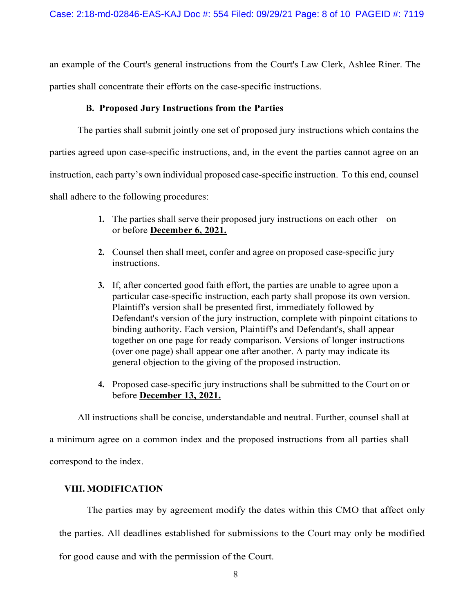an example of the Court's general instructions from the Court's Law Clerk, Ashlee Riner. The parties shall concentrate their efforts on the case-specific instructions.

### **B. Proposed Jury Instructions from the Parties**

The parties shall submit jointly one set of proposed jury instructions which contains the parties agreed upon case-specific instructions, and, in the event the parties cannot agree on an instruction, each party's own individual proposed case-specific instruction. To this end, counsel shall adhere to the following procedures:

- **1.** The parties shall serve their proposed jury instructions on each other on or before **December 6, 2021.**
- **2.** Counsel then shall meet, confer and agree on proposed case-specific jury instructions.
- **3.** If, after concerted good faith effort, the parties are unable to agree upon a particular case-specific instruction, each party shall propose its own version. Plaintiff's version shall be presented first, immediately followed by Defendant's version of the jury instruction, complete with pinpoint citations to binding authority. Each version, Plaintiff's and Defendant's, shall appear together on one page for ready comparison. Versions of longer instructions (over one page) shall appear one after another. A party may indicate its general objection to the giving of the proposed instruction.
- **4.** Proposed case-specific jury instructions shall be submitted to the Court on or before **December 13, 2021.**

All instructions shall be concise, understandable and neutral. Further, counsel shall at

a minimum agree on a common index and the proposed instructions from all parties shall

correspond to the index.

# **VIII. MODIFICATION**

The parties may by agreement modify the dates within this CMO that affect only the parties. All deadlines established for submissions to the Court may only be modified for good cause and with the permission of the Court.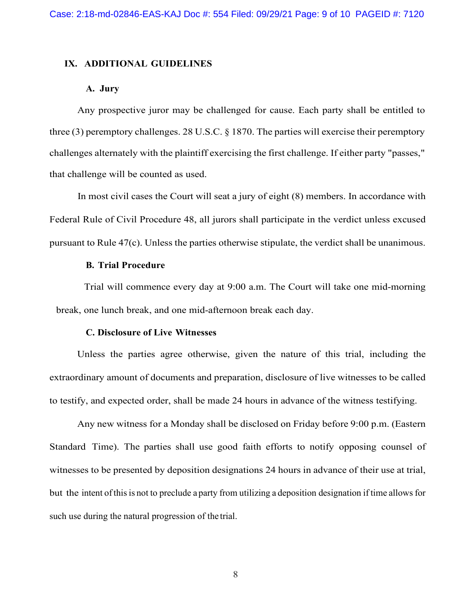### **IX. ADDITIONAL GUIDELINES**

#### **A. Jury**

Any prospective juror may be challenged for cause. Each party shall be entitled to three (3) peremptory challenges. 28 U.S.C. § 1870. The parties will exercise their peremptory challenges alternately with the plaintiff exercising the first challenge. If either party "passes," that challenge will be counted as used.

In most civil cases the Court will seat a jury of eight (8) members. In accordance with Federal Rule of Civil Procedure 48, all jurors shall participate in the verdict unless excused pursuant to Rule 47(c). Unless the parties otherwise stipulate, the verdict shall be unanimous.

#### **B. Trial Procedure**

Trial will commence every day at 9:00 a.m. The Court will take one mid-morning break, one lunch break, and one mid-afternoon break each day.

### **C. Disclosure of Live Witnesses**

Unless the parties agree otherwise, given the nature of this trial, including the extraordinary amount of documents and preparation, disclosure of live witnesses to be called to testify, and expected order, shall be made 24 hours in advance of the witness testifying.

Any new witness for a Monday shall be disclosed on Friday before 9:00 p.m. (Eastern Standard Time). The parties shall use good faith efforts to notify opposing counsel of witnesses to be presented by deposition designations 24 hours in advance of their use at trial, but the intent of this is not to preclude a party from utilizing a deposition designation if time allows for such use during the natural progression of the trial.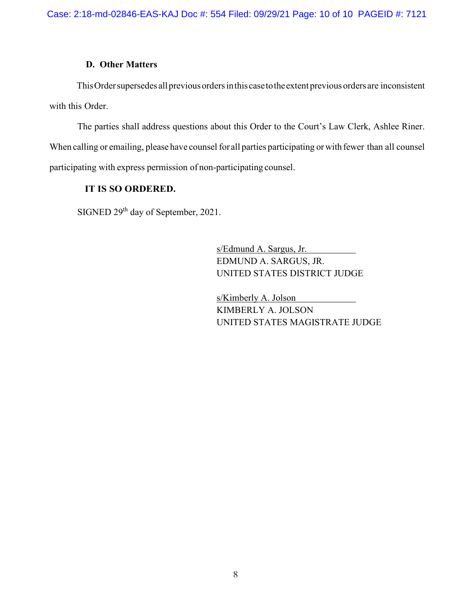### **D. Other Matters**

This Order supersedes all previous orders in this case to the extent previous orders are inconsistent with this Order.

The parties shall address questions about this Order to the Court's Law Clerk, Ashlee Riner. When calling or emailing, please have counsel for all parties participating or with fewer than all counsel participating with express permission of non-participating counsel.

# **IT IS SO ORDERED.**

SIGNED 29<sup>th</sup> day of September, 2021.

s/Edmund A. Sargus, Jr. EDMUND A. SARGUS, JR. UNITED STATES DISTRICT JUDGE

s/Kimberly A. Jolson KIMBERLY A. JOLSON UNITED STATES MAGISTRATE JUDGE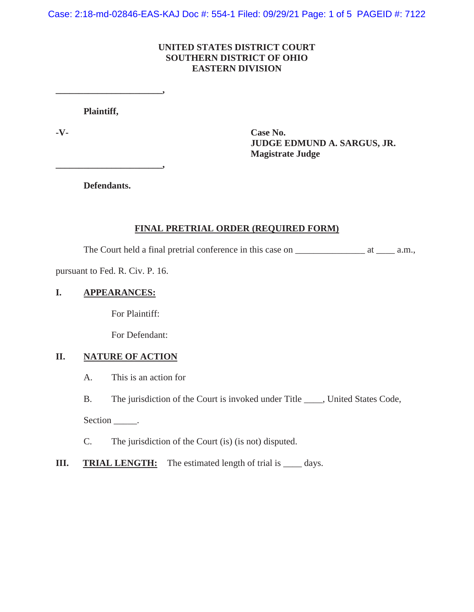Case: 2:18-md-02846-EAS-KAJ Doc #: 554-1 Filed: 09/29/21 Page: 1 of 5 PAGEID #: 7122

### **UNITED STATES DISTRICT COURT SOUTHERN DISTRICT OF OHIO EASTERN DIVISION**

**Plaintiff,**

**\_\_\_\_\_\_\_\_\_\_\_\_\_\_\_\_\_\_\_\_\_\_\_,**

**-V- Case No. JUDGE EDMUND A. SARGUS, JR. Magistrate Judge** 

**Defendants.**

**\_\_\_\_\_\_\_\_\_\_\_\_\_\_\_\_\_\_\_\_\_\_\_,**

### **FINAL PRETRIAL ORDER (REQUIRED FORM)**

The Court held a final pretrial conference in this case on \_\_\_\_\_\_\_\_\_\_\_\_\_\_\_\_\_\_\_\_\_\_ at \_\_\_\_\_\_\_\_ a.m.,

pursuant to Fed. R. Civ. P. 16.

### **I. APPEARANCES:**

For Plaintiff:

For Defendant:

### **II. NATURE OF ACTION**

A. This is an action for

B. The jurisdiction of the Court is invoked under Title \_\_\_\_, United States Code,

Section \_\_\_\_\_\_.

- C. The jurisdiction of the Court (is) (is not) disputed.
- **III.** TRIAL LENGTH: The estimated length of trial is \_\_\_\_\_ days.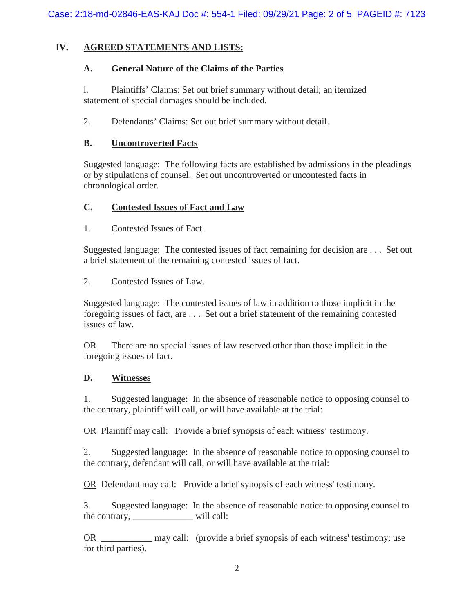# **IV. AGREED STATEMENTS AND LISTS:**

### **A. General Nature of the Claims of the Parties**

l. Plaintiffs' Claims: Set out brief summary without detail; an itemized statement of special damages should be included.

2. Defendants' Claims: Set out brief summary without detail.

### **B. Uncontroverted Facts**

Suggested language: The following facts are established by admissions in the pleadings or by stipulations of counsel. Set out uncontroverted or uncontested facts in chronological order.

### **C. Contested Issues of Fact and Law**

### 1. Contested Issues of Fact.

Suggested language: The contested issues of fact remaining for decision are . . . Set out a brief statement of the remaining contested issues of fact.

### 2. Contested Issues of Law.

Suggested language: The contested issues of law in addition to those implicit in the foregoing issues of fact, are . . . Set out a brief statement of the remaining contested issues of law.

OR There are no special issues of law reserved other than those implicit in the foregoing issues of fact.

### **D. Witnesses**

1. Suggested language: In the absence of reasonable notice to opposing counsel to the contrary, plaintiff will call, or will have available at the trial:

OR Plaintiff may call: Provide a brief synopsis of each witness' testimony.

2. Suggested language: In the absence of reasonable notice to opposing counsel to the contrary, defendant will call, or will have available at the trial:

OR Defendant may call: Provide a brief synopsis of each witness' testimony.

3. Suggested language: In the absence of reasonable notice to opposing counsel to the contrary, \_\_\_\_\_\_\_\_\_\_\_\_\_ will call:

OR \_\_\_\_\_\_\_\_\_\_\_ may call: (provide a brief synopsis of each witness' testimony; use for third parties).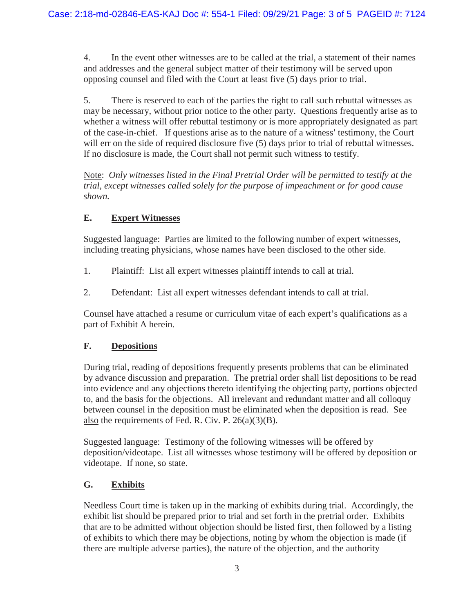4. In the event other witnesses are to be called at the trial, a statement of their names and addresses and the general subject matter of their testimony will be served upon opposing counsel and filed with the Court at least five (5) days prior to trial.

5. There is reserved to each of the parties the right to call such rebuttal witnesses as may be necessary, without prior notice to the other party. Questions frequently arise as to whether a witness will offer rebuttal testimony or is more appropriately designated as part of the case-in-chief. If questions arise as to the nature of a witness' testimony, the Court will err on the side of required disclosure five (5) days prior to trial of rebuttal witnesses. If no disclosure is made, the Court shall not permit such witness to testify.

Note: *Only witnesses listed in the Final Pretrial Order will be permitted to testify at the trial, except witnesses called solely for the purpose of impeachment or for good cause shown.*

# **E. Expert Witnesses**

Suggested language: Parties are limited to the following number of expert witnesses, including treating physicians, whose names have been disclosed to the other side.

- 1. Plaintiff: List all expert witnesses plaintiff intends to call at trial.
- 2. Defendant: List all expert witnesses defendant intends to call at trial.

Counsel have attached a resume or curriculum vitae of each expert's qualifications as a part of Exhibit A herein.

# **F. Depositions**

During trial, reading of depositions frequently presents problems that can be eliminated by advance discussion and preparation. The pretrial order shall list depositions to be read into evidence and any objections thereto identifying the objecting party, portions objected to, and the basis for the objections. All irrelevant and redundant matter and all colloquy between counsel in the deposition must be eliminated when the deposition is read. See also the requirements of Fed. R. Civ. P.  $26(a)(3)(B)$ .

Suggested language: Testimony of the following witnesses will be offered by deposition/videotape. List all witnesses whose testimony will be offered by deposition or videotape. If none, so state.

# **G. Exhibits**

Needless Court time is taken up in the marking of exhibits during trial. Accordingly, the exhibit list should be prepared prior to trial and set forth in the pretrial order. Exhibits that are to be admitted without objection should be listed first, then followed by a listing of exhibits to which there may be objections, noting by whom the objection is made (if there are multiple adverse parties), the nature of the objection, and the authority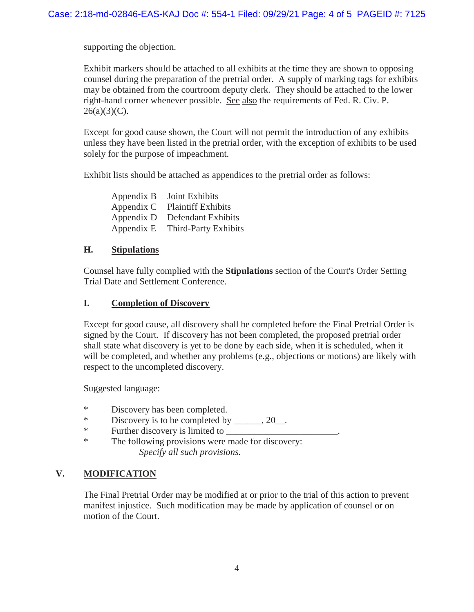supporting the objection.

Exhibit markers should be attached to all exhibits at the time they are shown to opposing counsel during the preparation of the pretrial order. A supply of marking tags for exhibits may be obtained from the courtroom deputy clerk. They should be attached to the lower right-hand corner whenever possible. See also the requirements of Fed. R. Civ. P.  $26(a)(3)(C)$ .

Except for good cause shown, the Court will not permit the introduction of any exhibits unless they have been listed in the pretrial order, with the exception of exhibits to be used solely for the purpose of impeachment.

Exhibit lists should be attached as appendices to the pretrial order as follows:

| Appendix B | Joint Exhibits            |
|------------|---------------------------|
| Appendix C | <b>Plaintiff Exhibits</b> |
| Appendix D | Defendant Exhibits        |
| Appendix E | Third-Party Exhibits      |

### **H. Stipulations**

Counsel have fully complied with the **Stipulations** section of the Court's Order Setting Trial Date and Settlement Conference.

### **I. Completion of Discovery**

Except for good cause, all discovery shall be completed before the Final Pretrial Order is signed by the Court. If discovery has not been completed, the proposed pretrial order shall state what discovery is yet to be done by each side, when it is scheduled, when it will be completed, and whether any problems (e.g., objections or motions) are likely with respect to the uncompleted discovery.

Suggested language:

- \* Discovery has been completed.
- \* Discovery is to be completed by \_\_\_\_\_\_, 20\_\_.
- \* Further discovery is limited to \_\_\_\_\_\_\_\_\_\_\_\_\_\_\_\_\_\_\_\_\_\_\_\_.
- \* The following provisions were made for discovery: *Specify all such provisions.*

# **V. MODIFICATION**

The Final Pretrial Order may be modified at or prior to the trial of this action to prevent manifest injustice. Such modification may be made by application of counsel or on motion of the Court.